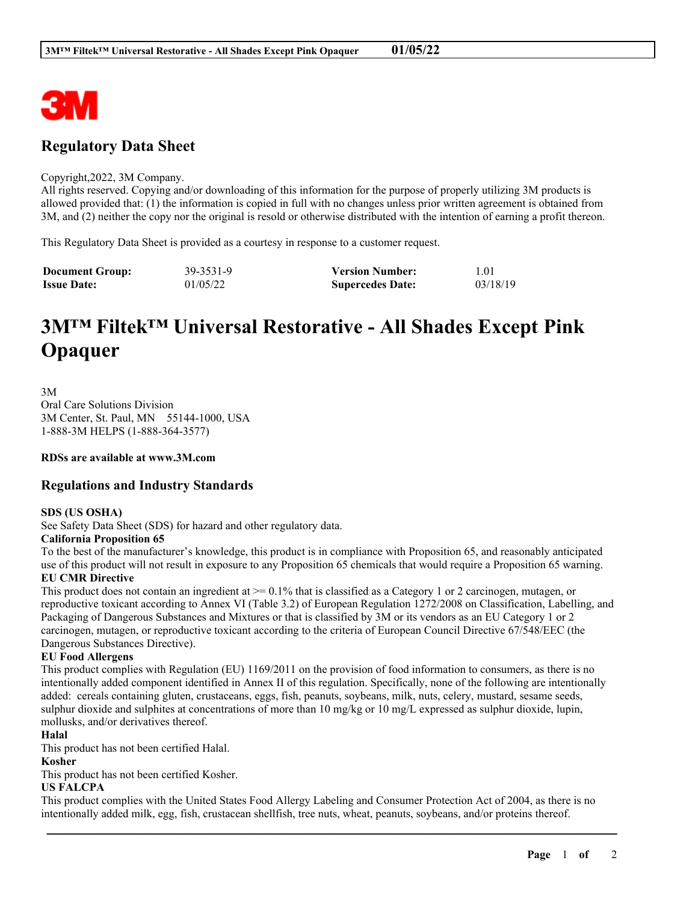

# **Regulatory Data Sheet**

#### Copyright,2022, 3M Company.

All rights reserved. Copying and/or downloading of this information for the purpose of properly utilizing 3M products is allowed provided that: (1) the information is copied in full with no changes unless prior written agreement is obtained from 3M, and (2) neither the copy nor the original is resold or otherwise distributed with the intention of earning a profit thereon.

This Regulatory Data Sheet is provided as a courtesy in response to a customer request.

| <b>Document Group:</b> | 39-3531-9 | <b>Version Number:</b>  | 1.01     |
|------------------------|-----------|-------------------------|----------|
| <b>Issue Date:</b>     | 01/05/22  | <b>Supercedes Date:</b> | 03/18/19 |

# **3M™ Filtek™ Universal Restorative - All Shades Except Pink Opaquer**

3M Oral Care Solutions Division 3M Center, St. Paul, MN 55144-1000, USA 1-888-3M HELPS (1-888-364-3577)

**RDSs are available at www.3M.com**

## **Regulations and Industry Standards**

#### **SDS (US OSHA)**

See Safety Data Sheet (SDS) for hazard and other regulatory data.

#### **California Proposition 65**

To the best of the manufacturer's knowledge, this product is in compliance with Proposition 65, and reasonably anticipated use of this product will not result in exposure to any Proposition 65 chemicals that would require a Proposition 65 warning. **EU CMR Directive**

This product does not contain an ingredient at  $\ge$  = 0.1% that is classified as a Category 1 or 2 carcinogen, mutagen, or reproductive toxicant according to Annex VI (Table 3.2) of European Regulation 1272/2008 on Classification, Labelling, and Packaging of Dangerous Substances and Mixtures or that is classified by 3M or its vendors as an EU Category 1 or 2 carcinogen, mutagen, or reproductive toxicant according to the criteria of European Council Directive 67/548/EEC (the Dangerous Substances Directive).

#### **EU Food Allergens**

This product complies with Regulation (EU) 1169/2011 on the provision of food information to consumers, as there is no intentionally added component identified in Annex II of this regulation. Specifically, none of the following are intentionally added: cereals containing gluten, crustaceans, eggs, fish, peanuts, soybeans, milk, nuts, celery, mustard, sesame seeds, sulphur dioxide and sulphites at concentrations of more than 10 mg/kg or 10 mg/L expressed as sulphur dioxide, lupin, mollusks, and/or derivatives thereof.

#### **Halal**

This product has not been certified Halal.

#### **Kosher**

This product has not been certified Kosher.

#### **US FALCPA**

This product complies with the United States Food Allergy Labeling and Consumer Protection Act of 2004, as there is no intentionally added milk, egg, fish, crustacean shellfish, tree nuts, wheat, peanuts, soybeans, and/or proteins thereof.

\_\_\_\_\_\_\_\_\_\_\_\_\_\_\_\_\_\_\_\_\_\_\_\_\_\_\_\_\_\_\_\_\_\_\_\_\_\_\_\_\_\_\_\_\_\_\_\_\_\_\_\_\_\_\_\_\_\_\_\_\_\_\_\_\_\_\_\_\_\_\_\_\_\_\_\_\_\_\_\_\_\_\_\_\_\_\_\_\_\_